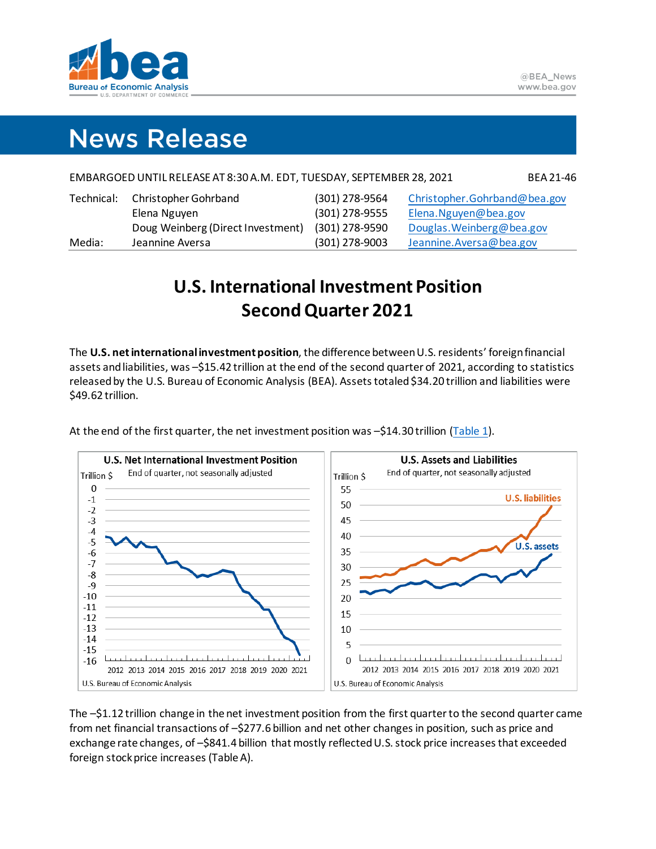

# **News Release**

| EMBARGOED UNTIL RELEASE AT 8:30 A.M. EDT, TUESDAY, SEPTEMBER 28, 2021 |                                   |                |                              |  |
|-----------------------------------------------------------------------|-----------------------------------|----------------|------------------------------|--|
| Technical:                                                            | Christopher Gohrband              | (301) 278-9564 | Christopher.Gohrband@bea.gov |  |
|                                                                       | Elena Nguyen                      | (301) 278-9555 | Elena. Nguyen@bea.gov        |  |
|                                                                       | Doug Weinberg (Direct Investment) | (301) 278-9590 | Douglas. Weinberg@bea.gov    |  |
| Media:                                                                | Jeannine Aversa                   | (301) 278-9003 | Jeannine.Aversa@bea.gov      |  |

# **U.S. International Investment Position SecondQuarter 2021**

The **U.S. net international investmentposition**, the difference between U.S. residents' foreign financial assets and liabilities, was –\$15.42 trillion at the end of the second quarter of 2021, according to statistics released by the U.S. Bureau of Economic Analysis (BEA). Assets totaled \$34.20 trillion and liabilities were \$49.62 trillion.



At the end of the first quarter, the net investment position was –\$14.30 trillion [\(Table 1\)](#page-6-0).

The –\$1.12 trillion change in the net investment position from the first quarterto the second quarter came from net financial transactions of –\$277.6 billion and net other changes in position, such as price and exchange rate changes, of –\$841.4 billion that mostly reflected U.S. stock price increases that exceeded foreign stock price increases (Table A).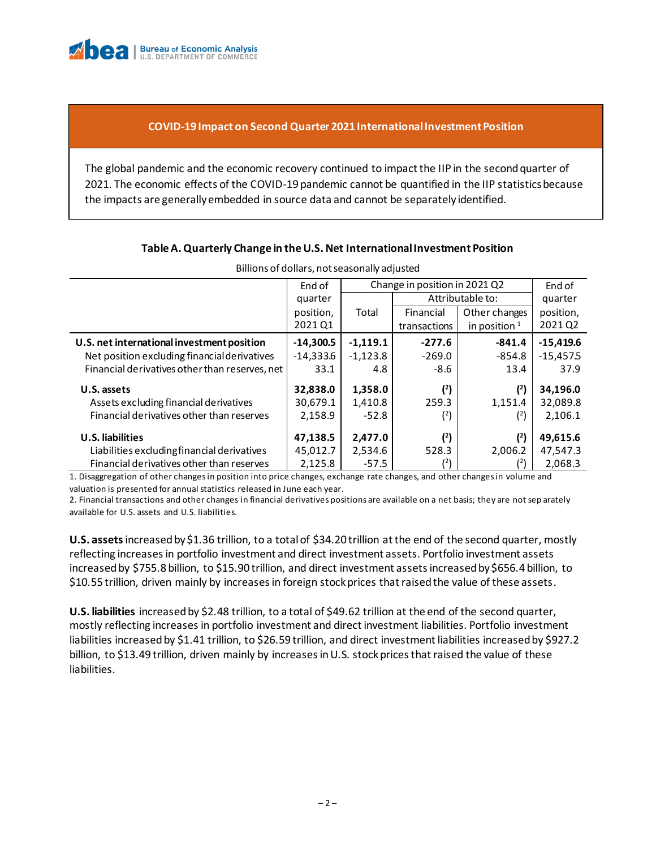

# **COVID-19 Impact on Second Quarter 2021 International Investment Position**

The global pandemic and the economic recovery continued to impact the IIP in the secondquarter of 2021. The economic effects of the COVID-19 pandemic cannot be quantified in the IIP statistics because the impacts are generally embedded in source data and cannot be separately identified.

| Billions of dollars, not seasonally adjusted   |             |                               |                                 |               |             |  |  |
|------------------------------------------------|-------------|-------------------------------|---------------------------------|---------------|-------------|--|--|
|                                                | End of      | Change in position in 2021 Q2 |                                 |               | End of      |  |  |
|                                                | quarter     |                               | Attributable to:                |               | quarter     |  |  |
|                                                | position,   | Total                         | Financial                       | Other changes | position,   |  |  |
|                                                | 2021 Q1     |                               | in position $1$<br>transactions |               | 2021Q2      |  |  |
| U.S. net international investment position     | $-14,300.5$ | $-1,119.1$                    | $-277.6$                        | $-841.4$      | $-15,419.6$ |  |  |
| Net position excluding financial derivatives   | $-14,333.6$ | $-1,123.8$                    | $-269.0$                        | $-854.8$      | $-15,457.5$ |  |  |
| Financial derivatives other than reserves, net | 33.1        | 4.8                           | -8.6                            | 13.4          | 37.9        |  |  |
| U.S. assets                                    | 32,838.0    | 1,358.0                       | (2)                             | (2)           | 34,196.0    |  |  |
| Assets excluding financial derivatives         | 30,679.1    | 1,410.8                       | 259.3                           | 1,151.4       | 32,089.8    |  |  |
| Financial derivatives other than reserves      | 2,158.9     | $-52.8$                       | (2)                             | (2)           | 2,106.1     |  |  |
| U.S. liabilities                               | 47,138.5    | 2,477.0                       | (2)                             | (2)           | 49,615.6    |  |  |
| Liabilities excluding financial derivatives    | 45,012.7    | 2,534.6                       | 528.3                           | 2,006.2       | 47,547.3    |  |  |
| Financial derivatives other than reserves      | 2,125.8     | $-57.5$                       | $^{(2)}$                        | (2)           | 2,068.3     |  |  |

### **Table A. Quarterly Change in the U.S. Net International Investment Position**

1. Disaggregation of other changes in position into price changes, exchange rate changes, and other changes in volume and valuation is presented for annual statistics released in June each year.

2. Financial transactions and other changes in financial derivatives positions are available on a net basis; they are not sep arately available for U.S. assets and U.S. liabilities.

**U.S. assets**increased by \$1.36 trillion, to a total of \$34.20 trillion at the end of the second quarter, mostly reflecting increases in portfolio investment and direct investment assets. Portfolio investment assets increased by \$755.8 billion, to \$15.90 trillion, and direct investment assets increased by \$656.4 billion, to \$10.55 trillion, driven mainly by increases in foreign stock prices that raised the value of these assets.

**U.S. liabilities** increased by \$2.48 trillion, to a total of \$49.62 trillion at the end of the second quarter, mostly reflecting increases in portfolio investment and direct investment liabilities. Portfolio investment liabilities increased by \$1.41 trillion, to \$26.59 trillion, and direct investment liabilities increased by \$927.2 billion, to \$13.49 trillion, driven mainly by increases in U.S. stock prices that raised the value of these liabilities.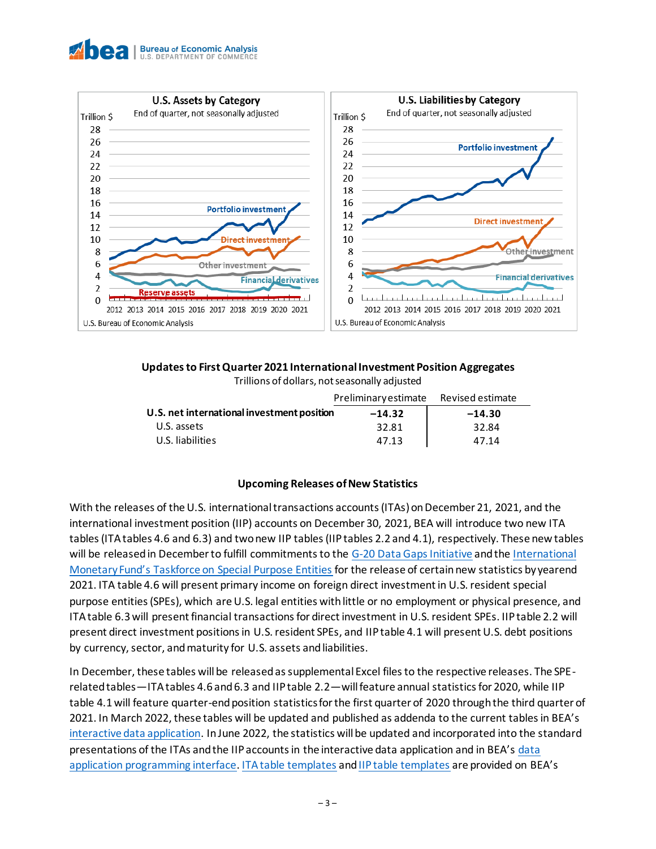



# **Updates to First Quarter 2021 International Investment Position Aggregates**

Trillions of dollars, not seasonally adjusted

|                                            | Preliminary estimate | Revised estimate |  |  |
|--------------------------------------------|----------------------|------------------|--|--|
| U.S. net international investment position | $-14.32$             | $-14.30$         |  |  |
| U.S. assets                                | 32.81                | 32.84            |  |  |
| U.S. liabilities                           | 47.13                | 47.14            |  |  |

# **Upcoming Releases of New Statistics**

With the releases of the U.S. international transactions accounts (ITAs) on December 21, 2021, and the international investment position (IIP) accounts on December 30, 2021, BEA will introduce two new ITA tables (ITA tables 4.6 and 6.3) and two new IIP tables (IIP tables 2.2 and 4.1), respectively. These new tables will be released in December to fulfill commitments to the [G-20 Data Gaps Initiative](https://www.imf.org/en/Publications/SPROLLs/G20-Data-Gaps-Initiative#sort=%40imfdate%20descending) and th[e International](https://www.imf.org/external/pubs/ft/bop/2018/pdf/18-03.pdf)  [Monetary Fund's Taskforce on Special Purpose Entities](https://www.imf.org/external/pubs/ft/bop/2018/pdf/18-03.pdf) for the release of certain new statistics by yearend 2021. ITA table 4.6 will present primary income on foreign direct investment in U.S. resident special purpose entities (SPEs), which are U.S. legal entities with little or no employment or physical presence, and ITA table 6.3 will present financial transactions for direct investment in U.S. resident SPEs. IIP table 2.2 will present direct investment positions in U.S. resident SPEs, and IIP table 4.1 will present U.S. debt positions by currency, sector, and maturity for U.S. assets and liabilities.

In December, these tables will be released as supplemental Excel files to the respective releases. The SPErelated tables—ITA tables 4.6 and 6.3 and IIP table 2.2—will feature annual statistics for 2020, while IIP table 4.1 will feature quarter-end position statistics for the first quarter of 2020 through the third quarter of 2021. In March 2022, these tables will be updated and published as addenda to the current tables in BEA's [interactive data application.](https://apps.bea.gov/iTable/index_ita.cfm) In June 2022, the statistics will be updated and incorporated into the standard presentations of the ITAs and the IIP accounts in the interactive data application and in BEA's [data](https://gcc02.safelinks.protection.outlook.com/?url=https%3A%2F%2Fapps.bea.gov%2FAPI%2Fsignup%2Findex.cfm&data=04%7C01%7CPatricia.Abaroa%40bea.gov%7C244882c2ea1246b177bd08d97c37383f%7Cb1c9802897414918bb2e23f328481250%7C1%7C0%7C637677398865703544%7CUnknown%7CTWFpbGZsb3d8eyJWIjoiMC4wLjAwMDAiLCJQIjoiV2luMzIiLCJBTiI6Ik1haWwiLCJXVCI6Mn0%3D%7C1000&sdata=Z2aQfNqP8d9dwxcFxvhhx2qq8wouugSgZKnq%2BgHpWOc%3D&reserved=0)  [application programming interface.](https://gcc02.safelinks.protection.outlook.com/?url=https%3A%2F%2Fapps.bea.gov%2FAPI%2Fsignup%2Findex.cfm&data=04%7C01%7CPatricia.Abaroa%40bea.gov%7C244882c2ea1246b177bd08d97c37383f%7Cb1c9802897414918bb2e23f328481250%7C1%7C0%7C637677398865703544%7CUnknown%7CTWFpbGZsb3d8eyJWIjoiMC4wLjAwMDAiLCJQIjoiV2luMzIiLCJBTiI6Ik1haWwiLCJXVCI6Mn0%3D%7C1000&sdata=Z2aQfNqP8d9dwxcFxvhhx2qq8wouugSgZKnq%2BgHpWOc%3D&reserved=0) [ITA table templates](https://www.bea.gov/sites/default/files/2021-09/trans221-ita-table-templates.xlsx) an[d IIP table templates](https://www.bea.gov/sites/default/files/2021-09/intinv221-iip-table-templates.xlsx) are provided on BEA's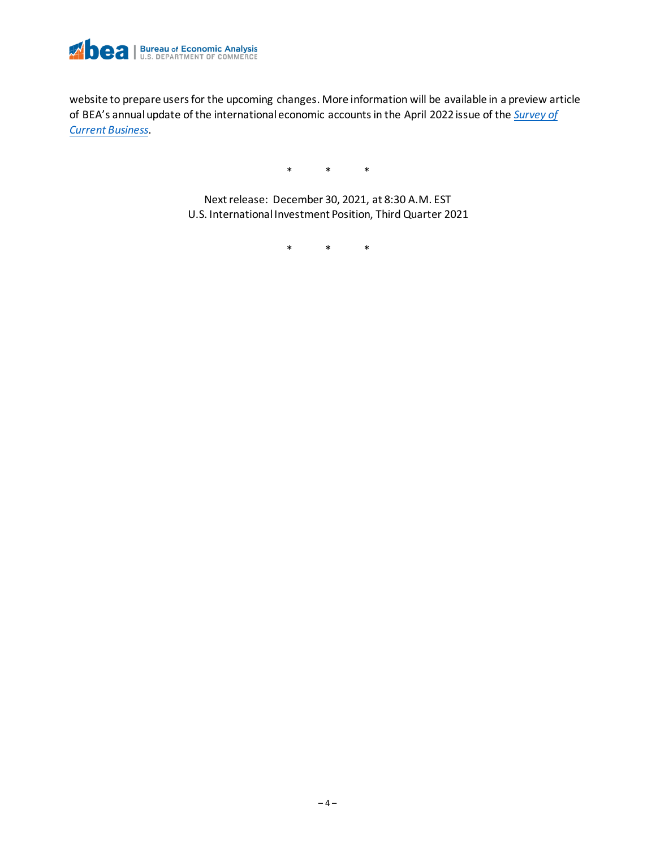

website to prepare users for the upcoming changes. More information will be available in a preview article of BEA's annual update of the international economic accounts in the April 2022 issue of the *[Survey of](https://apps.bea.gov/scb/)  [Current Business](https://apps.bea.gov/scb/)*.

\* \* \*

Next release: December 30, 2021, at 8:30 A.M. EST U.S. International Investment Position, Third Quarter 2021

\* \* \*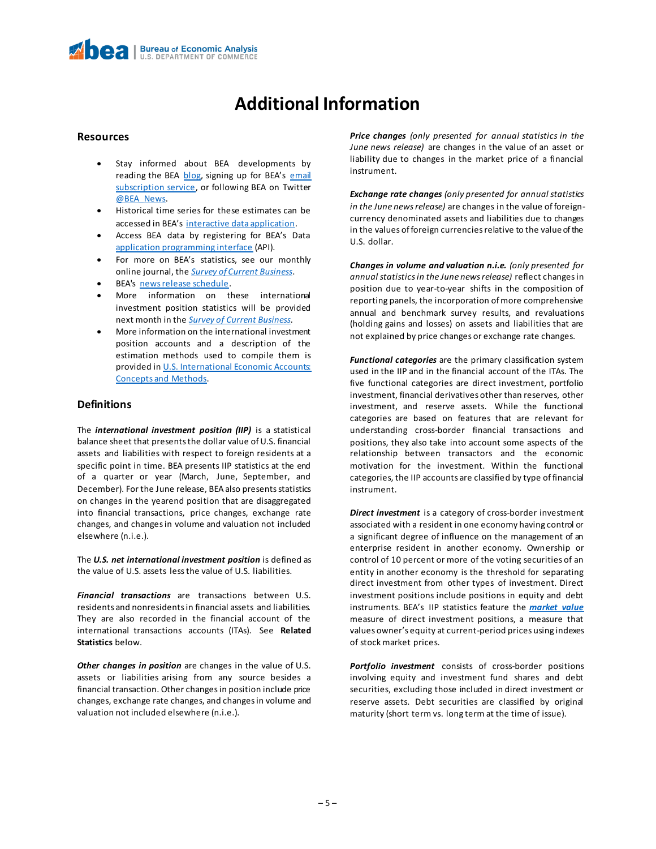# **Additional Information**

#### **Resources**

- Stay informed about BEA developments by reading the BEA [blog](https://www.bea.gov/news/blog), signing up for BEA's email [subscription service,](https://www.bea.gov/_subscribe/) or following BEA on Twitter [@BEA\\_News.](https://www.twitter.com/BEA_News)
- Historical time series for these estimates can be accessed in BEA's [interactive data application.](https://apps.bea.gov/iTable/index_ita.cfm)
- Access BEA data by registering for BEA's Data [application programming interface](https://apps.bea.gov/API/signup/index.cfm) (API).
- For more on BEA's statistics, see our monthly online journal, the *[Survey of Current Business](https://apps.bea.gov/scb/index.htm)*.
- BEA's [news release schedule.](https://www.bea.gov/news/schedule)
- More information on these international investment position statistics will be provided next month in the *[Survey of Current Business.](https://apps.bea.gov/scb/index.htm)*
- More information on the international investment position accounts and a description of the estimation methods used to compile them is provided in U.S. International Economic Accounts: [Concepts and Methods.](https://www.bea.gov/resources/methodologies/us-international-economic-accounts-concepts-methods)

#### **Definitions**

The *international investment position (IIP)* is a statistical balance sheet that presents the dollar value of U.S. financial assets and liabilities with respect to foreign residents at a specific point in time. BEA presents IIP statistics at the end of a quarter or year (March, June, September, and December). For the June release, BEA also presents statistics on changes in the yearend position that are disaggregated into financial transactions, price changes, exchange rate changes, and changes in volume and valuation not included elsewhere (n.i.e.).

The *U.S. net international investment position* is defined as the value of U.S. assets less the value of U.S. liabilities.

*Financial transactions* are transactions between U.S. residents and nonresidents in financial assets and liabilities. They are also recorded in the financial account of the international transactions accounts (ITAs). See **Related Statistics** below.

*Other changes in position* are changes in the value of U.S. assets or liabilities arising from any source besides a financial transaction. Other changes in position include price changes, exchange rate changes, and changes in volume and valuation not included elsewhere (n.i.e.).

*Price changes (only presented for annual statistics in the June news release)* are changes in the value of an asset or liability due to changes in the market price of a financial instrument.

*Exchange rate changes (only presented for annual statistics in the June news release)* are changes in the value of foreigncurrency denominated assets and liabilities due to changes in the values of foreign currencies relative to the value of the U.S. dollar.

*Changes in volume and valuation n.i.e. (only presented for annual statistics in the June news release)* reflect changes in position due to year-to-year shifts in the composition of reporting panels, the incorporation of more comprehensive annual and benchmark survey results, and revaluations (holding gains and losses) on assets and liabilities that are not explained by price changes or exchange rate changes.

*Functional categories* are the primary classification system used in the IIP and in the financial account of the ITAs. The five functional categories are direct investment, portfolio investment, financial derivatives other than reserves, other investment, and reserve assets. While the functional categories are based on features that are relevant for understanding cross-border financial transactions and positions, they also take into account some aspects of the relationship between transactors and the economic motivation for the investment. Within the functional categories, the IIP accounts are classified by type of financial instrument.

*Direct investment* is a category of cross-border investment associated with a resident in one economy having control or a significant degree of influence on the management of an enterprise resident in another economy. Ownership or control of 10 percent or more of the voting securities of an entity in another economy is the threshold for separating direct investment from other types of investment. Direct investment positions include positions in equity and debt instruments. BEA's IIP statistics feature the *[market value](https://apps.bea.gov/international/pdf/market_value.pdf)* measure of direct investment positions, a measure that values owner's equity at current-period prices using indexes of stock market prices.

*Portfolio investment* consists of cross-border positions involving equity and investment fund shares and debt securities, excluding those included in direct investment or reserve assets. Debt securities are classified by original maturity (short term vs. long term at the time of issue).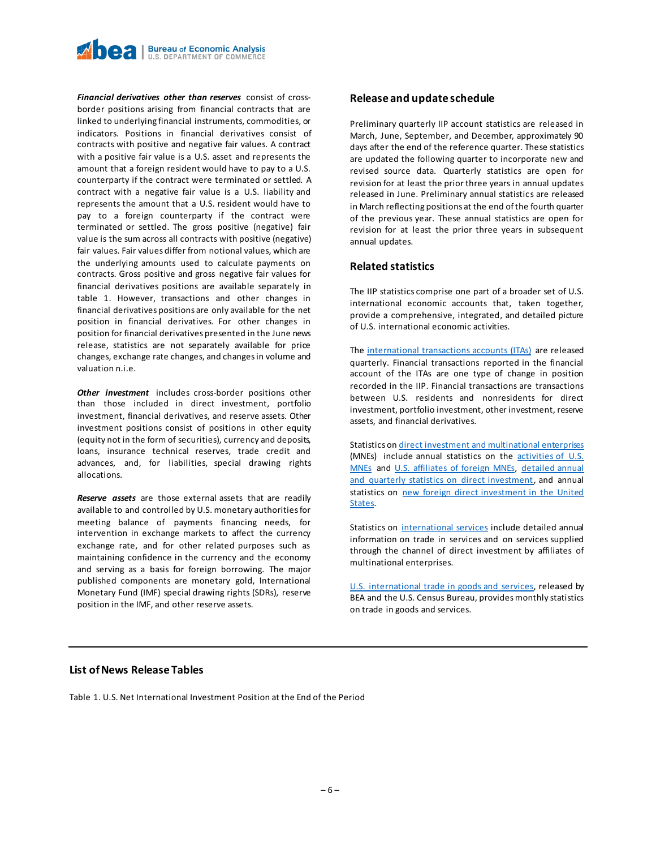

*Financial derivatives other than reserves* consist of crossborder positions arising from financial contracts that are linked to underlying financial instruments, commodities, or indicators. Positions in financial derivatives consist of contracts with positive and negative fair values. A contract with a positive fair value is a U.S. asset and represents the amount that a foreign resident would have to pay to a U.S. counterparty if the contract were terminated or settled. A contract with a negative fair value is a U.S. liability and represents the amount that a U.S. resident would have to pay to a foreign counterparty if the contract were terminated or settled. The gross positive (negative) fair value is the sum across all contracts with positive (negative) fair values. Fair values differ from notional values, which are the underlying amounts used to calculate payments on contracts. Gross positive and gross negative fair values for financial derivatives positions are available separately in table 1. However, transactions and other changes in financial derivatives positions are only available for the net position in financial derivatives. For other changes in position for financial derivatives presented in the June news release, statistics are not separately available for price changes, exchange rate changes, and changes in volume and valuation n.i.e.

*Other investment* includes cross-border positions other than those included in direct investment, portfolio investment, financial derivatives, and reserve assets. Other investment positions consist of positions in other equity (equity not in the form of securities), currency and deposits, loans, insurance technical reserves, trade credit and advances, and, for liabilities, special drawing rights allocations.

*Reserve assets* are those external assets that are readily available to and controlled by U.S. monetary authorities for meeting balance of payments financing needs, for intervention in exchange markets to affect the currency exchange rate, and for other related purposes such as maintaining confidence in the currency and the economy and serving as a basis for foreign borrowing. The major published components are monetary gold, International Monetary Fund (IMF) special drawing rights (SDRs), reserve position in the IMF, and other reserve assets.

#### **Release and update schedule**

Preliminary quarterly IIP account statistics are released in March, June, September, and December, approximately 90 days after the end of the reference quarter. These statistics are updated the following quarter to incorporate new and revised source data. Quarterly statistics are open for revision for at least the prior three years in annual updates released in June. Preliminary annual statistics are released in March reflecting positions at the end of the fourth quarter of the previous year. These annual statistics are open for revision for at least the prior three years in subsequent annual updates.

#### **Related statistics**

The IIP statistics comprise one part of a broader set of U.S. international economic accounts that, taken together, provide a comprehensive, integrated, and detailed picture of U.S. international economic activities.

Th[e international transactions accounts](https://www.bea.gov/data/intl-trade-investment/international-transactions) (ITAs) are released quarterly. Financial transactions reported in the financial account of the ITAs are one type of change in position recorded in the IIP. Financial transactions are transactions between U.S. residents and nonresidents for direct investment, portfolio investment, other investment, reserve assets, and financial derivatives.

Statistics o[n direct investment and multinational enterprises](https://apps.bea.gov/iTable/index_MNC.cfm) (MNEs) include annual statistics on the [activities of U.S.](https://www.bea.gov/data/intl-trade-investment/activities-us-multinational-enterprises-mnes)  [MNEs](https://www.bea.gov/data/intl-trade-investment/activities-us-multinational-enterprises-mnes) and [U.S. affiliates of foreign MNEs,](https://www.bea.gov/data/intl-trade-investment/activities-us-affiliates-foreign-mnes) [detailed annual](https://www.bea.gov/products/direct-investment-country-and-industry)  [and quarterly statistics on direct investment](https://www.bea.gov/products/direct-investment-country-and-industry), and annual statistics on [new foreign direct investment in the United](https://www.bea.gov/data/intl-trade-investment/new-foreign-direct-investment-united-states)  [States.](https://www.bea.gov/data/intl-trade-investment/new-foreign-direct-investment-united-states)

Statistics on [international services](https://www.bea.gov/data/intl-trade-investment/international-services-expanded) include detailed annual information on trade in services and on services supplied through the channel of direct investment by affiliates of multinational enterprises.

[U.S. international trade in goods and services,](https://www.bea.gov/data/intl-trade-investment/international-trade-goods-and-services) released by BEA and the U.S. Census Bureau, provides monthly statistics on trade in goods and services.

#### **List of News Release Tables**

Table 1. U.S. Net International Investment Position at the End of the Period